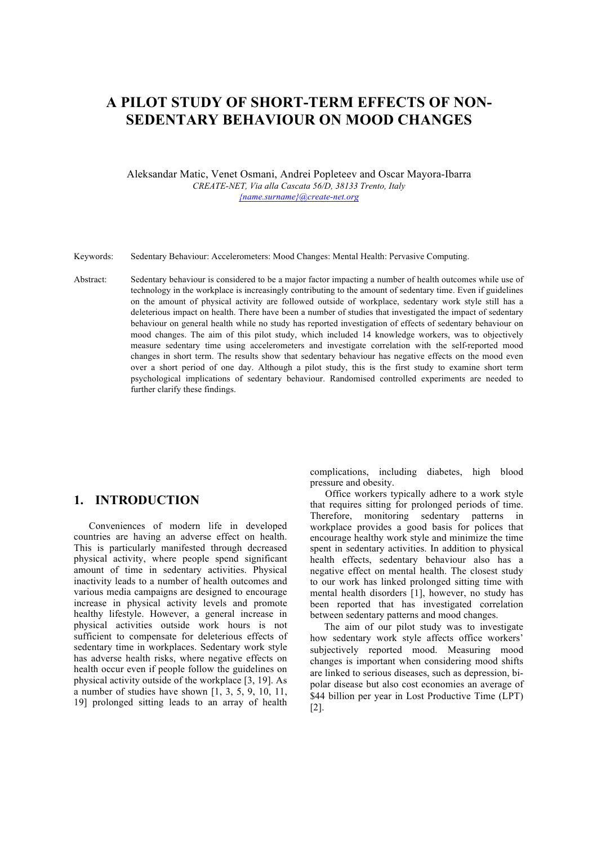# **A PILOT STUDY OF SHORT-TERM EFFECTS OF NON-SEDENTARY BEHAVIOUR ON MOOD CHANGES**

Aleksandar Matic, Venet Osmani, Andrei Popleteev and Oscar Mayora-Ibarra *CREATE-NET, Via alla Cascata 56/D, 38133 Trento, Italy {name.surname}@create-net.org*

Keywords: Sedentary Behaviour: Accelerometers: Mood Changes: Mental Health: Pervasive Computing.

Abstract: Sedentary behaviour is considered to be a major factor impacting a number of health outcomes while use of technology in the workplace is increasingly contributing to the amount of sedentary time. Even if guidelines on the amount of physical activity are followed outside of workplace, sedentary work style still has a deleterious impact on health. There have been a number of studies that investigated the impact of sedentary behaviour on general health while no study has reported investigation of effects of sedentary behaviour on mood changes. The aim of this pilot study, which included 14 knowledge workers, was to objectively measure sedentary time using accelerometers and investigate correlation with the self-reported mood changes in short term. The results show that sedentary behaviour has negative effects on the mood even over a short period of one day. Although a pilot study, this is the first study to examine short term psychological implications of sedentary behaviour. Randomised controlled experiments are needed to further clarify these findings.

## **1. INTRODUCTION**

Conveniences of modern life in developed countries are having an adverse effect on health. This is particularly manifested through decreased physical activity, where people spend significant amount of time in sedentary activities. Physical inactivity leads to a number of health outcomes and various media campaigns are designed to encourage increase in physical activity levels and promote healthy lifestyle. However, a general increase in physical activities outside work hours is not sufficient to compensate for deleterious effects of sedentary time in workplaces. Sedentary work style has adverse health risks, where negative effects on health occur even if people follow the guidelines on physical activity outside of the workplace [3, 19]. As a number of studies have shown  $\begin{bmatrix} 1, 3, 5, 9, 10, 11, \end{bmatrix}$ 19] prolonged sitting leads to an array of health

complications, including diabetes, high blood pressure and obesity.

Office workers typically adhere to a work style that requires sitting for prolonged periods of time. Therefore, monitoring sedentary patterns in workplace provides a good basis for polices that encourage healthy work style and minimize the time spent in sedentary activities. In addition to physical health effects, sedentary behaviour also has a negative effect on mental health. The closest study to our work has linked prolonged sitting time with mental health disorders [1], however, no study has been reported that has investigated correlation between sedentary patterns and mood changes.

The aim of our pilot study was to investigate how sedentary work style affects office workers' subjectively reported mood. Measuring mood changes is important when considering mood shifts are linked to serious diseases, such as depression, bipolar disease but also cost economies an average of \$44 billion per year in Lost Productive Time (LPT) [2].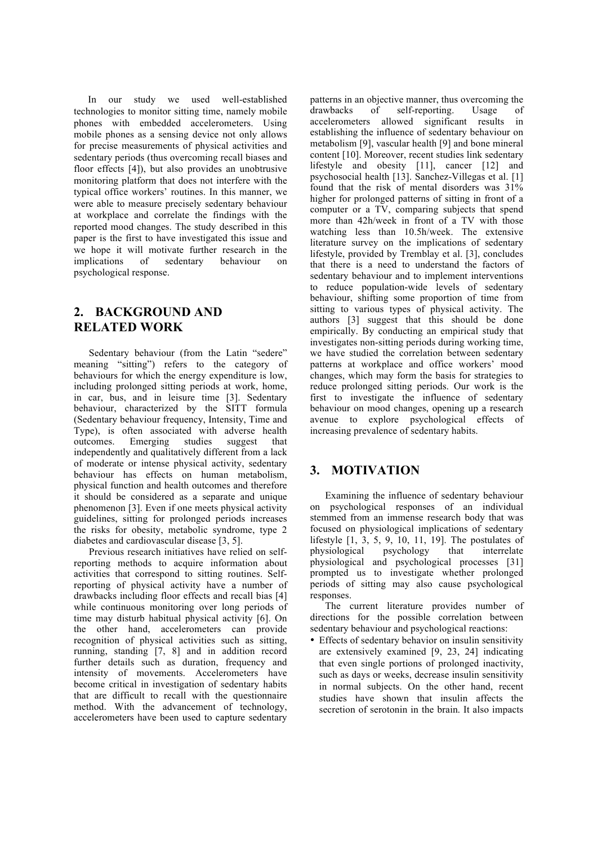In our study we used well-established technologies to monitor sitting time, namely mobile phones with embedded accelerometers. Using mobile phones as a sensing device not only allows for precise measurements of physical activities and sedentary periods (thus overcoming recall biases and floor effects [4]), but also provides an unobtrusive monitoring platform that does not interfere with the typical office workers' routines. In this manner, we were able to measure precisely sedentary behaviour at workplace and correlate the findings with the reported mood changes. The study described in this paper is the first to have investigated this issue and we hope it will motivate further research in the implications of sedentary behaviour on psychological response.

## **2. BACKGROUND AND RELATED WORK**

Sedentary behaviour (from the Latin "sedere" meaning "sitting") refers to the category of behaviours for which the energy expenditure is low, including prolonged sitting periods at work, home, in car, bus, and in leisure time [3]. Sedentary behaviour, characterized by the SITT formula (Sedentary behaviour frequency, Intensity, Time and Type), is often associated with adverse health outcomes. Emerging studies suggest that independently and qualitatively different from a lack of moderate or intense physical activity, sedentary behaviour has effects on human metabolism, physical function and health outcomes and therefore it should be considered as a separate and unique phenomenon [3]. Even if one meets physical activity guidelines, sitting for prolonged periods increases the risks for obesity, metabolic syndrome, type 2 diabetes and cardiovascular disease [3, 5].

Previous research initiatives have relied on selfreporting methods to acquire information about activities that correspond to sitting routines. Selfreporting of physical activity have a number of drawbacks including floor effects and recall bias [4] while continuous monitoring over long periods of time may disturb habitual physical activity [6]. On the other hand, accelerometers can provide recognition of physical activities such as sitting, running, standing [7, 8] and in addition record further details such as duration, frequency and intensity of movements. Accelerometers have become critical in investigation of sedentary habits that are difficult to recall with the questionnaire method. With the advancement of technology, accelerometers have been used to capture sedentary

patterns in an objective manner, thus overcoming the drawbacks of self-reporting. Usage of accelerometers allowed significant results in establishing the influence of sedentary behaviour on metabolism [9], vascular health [9] and bone mineral content [10]. Moreover, recent studies link sedentary lifestyle and obesity [11], cancer [12] and psychosocial health [13]. Sanchez-Villegas et al. [1] found that the risk of mental disorders was 31% higher for prolonged patterns of sitting in front of a computer or a TV, comparing subjects that spend more than 42h/week in front of a TV with those watching less than 10.5h/week. The extensive literature survey on the implications of sedentary lifestyle, provided by Tremblay et al. [3], concludes that there is a need to understand the factors of sedentary behaviour and to implement interventions to reduce population-wide levels of sedentary behaviour, shifting some proportion of time from sitting to various types of physical activity. The authors [3] suggest that this should be done empirically. By conducting an empirical study that investigates non-sitting periods during working time, we have studied the correlation between sedentary patterns at workplace and office workers' mood changes, which may form the basis for strategies to reduce prolonged sitting periods. Our work is the first to investigate the influence of sedentary behaviour on mood changes, opening up a research avenue to explore psychological effects of increasing prevalence of sedentary habits.

## **3. MOTIVATION**

Examining the influence of sedentary behaviour on psychological responses of an individual stemmed from an immense research body that was focused on physiological implications of sedentary lifestyle [1, 3, 5, 9, 10, 11, 19]. The postulates of physiological psychology that interrelate physiological and psychological processes [31] prompted us to investigate whether prolonged periods of sitting may also cause psychological responses.

The current literature provides number of directions for the possible correlation between sedentary behaviour and psychological reactions:

• Effects of sedentary behavior on insulin sensitivity are extensively examined [9, 23, 24] indicating that even single portions of prolonged inactivity, such as days or weeks, decrease insulin sensitivity in normal subjects. On the other hand, recent studies have shown that insulin affects the secretion of serotonin in the brain. It also impacts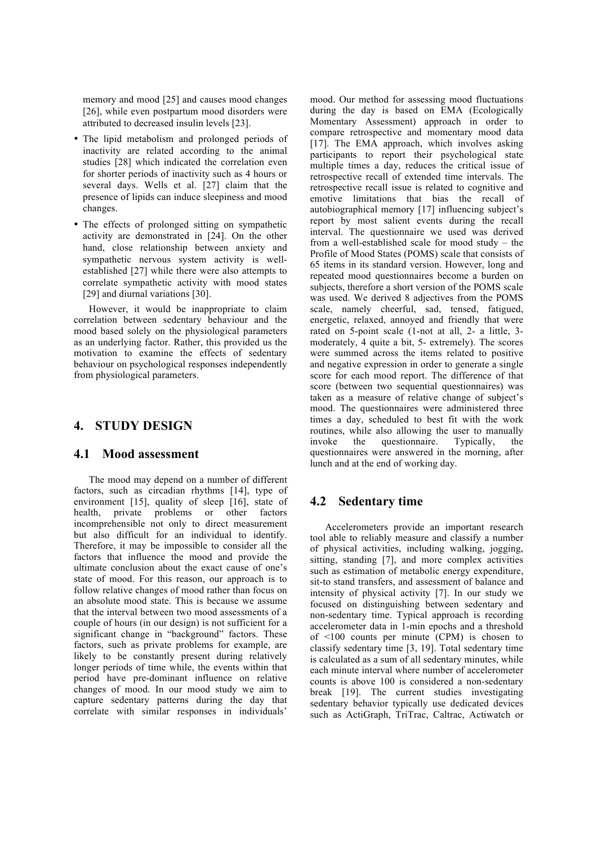memory and mood [25] and causes mood changes [26], while even postpartum mood disorders were attributed to decreased insulin levels [23].

- The lipid metabolism and prolonged periods of inactivity are related according to the animal studies [28] which indicated the correlation even for shorter periods of inactivity such as 4 hours or several days. Wells et al. [27] claim that the presence of lipids can induce sleepiness and mood changes.
- The effects of prolonged sitting on sympathetic activity are demonstrated in [24]. On the other hand, close relationship between anxiety and sympathetic nervous system activity is wellestablished [27] while there were also attempts to correlate sympathetic activity with mood states [29] and diurnal variations [30].

However, it would be inappropriate to claim correlation between sedentary behaviour and the mood based solely on the physiological parameters as an underlying factor. Rather, this provided us the motivation to examine the effects of sedentary behaviour on psychological responses independently from physiological parameters.

## **4. STUDY DESIGN**

#### **4.1 Mood assessment**

The mood may depend on a number of different factors, such as circadian rhythms [14], type of environment [15], quality of sleep [16], state of health, private problems or other factors incomprehensible not only to direct measurement but also difficult for an individual to identify. Therefore, it may be impossible to consider all the factors that influence the mood and provide the ultimate conclusion about the exact cause of one's state of mood. For this reason, our approach is to follow relative changes of mood rather than focus on an absolute mood state. This is because we assume that the interval between two mood assessments of a couple of hours (in our design) is not sufficient for a significant change in "background" factors. These factors, such as private problems for example, are likely to be constantly present during relatively longer periods of time while, the events within that period have pre-dominant influence on relative changes of mood. In our mood study we aim to capture sedentary patterns during the day that correlate with similar responses in individuals'

mood. Our method for assessing mood fluctuations during the day is based on EMA (Ecologically Momentary Assessment) approach in order to compare retrospective and momentary mood data [17]. The EMA approach, which involves asking participants to report their psychological state multiple times a day, reduces the critical issue of retrospective recall of extended time intervals. The retrospective recall issue is related to cognitive and emotive limitations that bias the recall of autobiographical memory [17] influencing subject's report by most salient events during the recall interval. The questionnaire we used was derived from a well-established scale for mood study – the Profile of Mood States (POMS) scale that consists of 65 items in its standard version. However, long and repeated mood questionnaires become a burden on subjects, therefore a short version of the POMS scale was used. We derived 8 adjectives from the POMS scale, namely cheerful, sad, tensed, fatigued, energetic, relaxed, annoyed and friendly that were rated on 5-point scale (1-not at all, 2- a little, 3 moderately, 4 quite a bit, 5- extremely). The scores were summed across the items related to positive and negative expression in order to generate a single score for each mood report. The difference of that score (between two sequential questionnaires) was taken as a measure of relative change of subject's mood. The questionnaires were administered three times a day, scheduled to best fit with the work routines, while also allowing the user to manually invoke the questionnaire. Typically, the questionnaires were answered in the morning, after lunch and at the end of working day.

### **4.2 Sedentary time**

Accelerometers provide an important research tool able to reliably measure and classify a number of physical activities, including walking, jogging, sitting, standing [7], and more complex activities such as estimation of metabolic energy expenditure, sit-to stand transfers, and assessment of balance and intensity of physical activity [7]. In our study we focused on distinguishing between sedentary and non-sedentary time. Typical approach is recording accelerometer data in 1-min epochs and a threshold of <100 counts per minute (CPM) is chosen to classify sedentary time [3, 19]. Total sedentary time is calculated as a sum of all sedentary minutes, while each minute interval where number of accelerometer counts is above 100 is considered a non-sedentary break [19]. The current studies investigating sedentary behavior typically use dedicated devices such as ActiGraph, TriTrac, Caltrac, Actiwatch or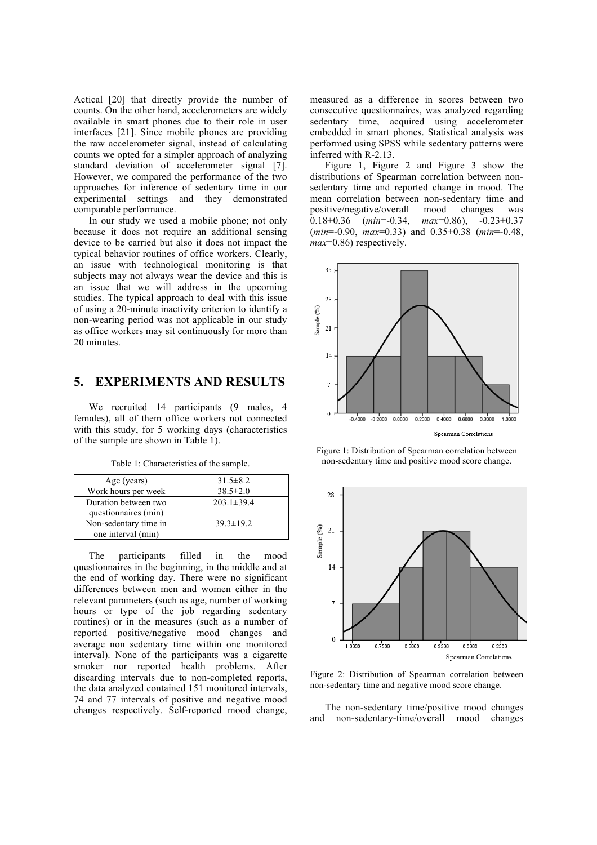Actical [20] that directly provide the number of counts. On the other hand, accelerometers are widely available in smart phones due to their role in user interfaces [21]. Since mobile phones are providing the raw accelerometer signal, instead of calculating counts we opted for a simpler approach of analyzing standard deviation of accelerometer signal [7]. However, we compared the performance of the two approaches for inference of sedentary time in our experimental settings and they demonstrated comparable performance.

In our study we used a mobile phone; not only because it does not require an additional sensing device to be carried but also it does not impact the typical behavior routines of office workers. Clearly, an issue with technological monitoring is that subjects may not always wear the device and this is an issue that we will address in the upcoming studies. The typical approach to deal with this issue of using a 20-minute inactivity criterion to identify a non-wearing period was not applicable in our study as office workers may sit continuously for more than 20 minutes.

## **5. EXPERIMENTS AND RESULTS**

We recruited 14 participants (9 males, 4 females), all of them office workers not connected with this study, for 5 working days (characteristics of the sample are shown in Table 1).

| Age (years)           | $31.5 \pm 8.2$   |
|-----------------------|------------------|
| Work hours per week   | $38.5 \pm 2.0$   |
| Duration between two  | $203.1 \pm 39.4$ |
| questionnaires (min)  |                  |
| Non-sedentary time in | $39.3 \pm 19.2$  |
| one interval (min)    |                  |

Table 1: Characteristics of the sample.

The participants filled in the mood questionnaires in the beginning, in the middle and at the end of working day. There were no significant differences between men and women either in the relevant parameters (such as age, number of working hours or type of the job regarding sedentary routines) or in the measures (such as a number of reported positive/negative mood changes and average non sedentary time within one monitored interval). None of the participants was a cigarette smoker nor reported health problems. After discarding intervals due to non-completed reports, the data analyzed contained 151 monitored intervals, 74 and 77 intervals of positive and negative mood changes respectively. Self-reported mood change, measured as a difference in scores between two consecutive questionnaires, was analyzed regarding sedentary time, acquired using accelerometer embedded in smart phones. Statistical analysis was performed using SPSS while sedentary patterns were inferred with R-2.13.

Figure 1, Figure 2 and Figure 3 show the distributions of Spearman correlation between nonsedentary time and reported change in mood. The mean correlation between non-sedentary time and positive/negative/overall mood changes was 0.18±0.36 (*min*=-0.34, *max*=0.86), -0.23±0.37 (*min*=-0.90, *max*=0.33) and 0.35±0.38 (*min*=-0.48, *max*=0.86) respectively.



Figure 1: Distribution of Spearman correlation between non-sedentary time and positive mood score change.



Figure 2: Distribution of Spearman correlation between non-sedentary time and negative mood score change.

The non-sedentary time/positive mood changes and non-sedentary-time/overall mood changes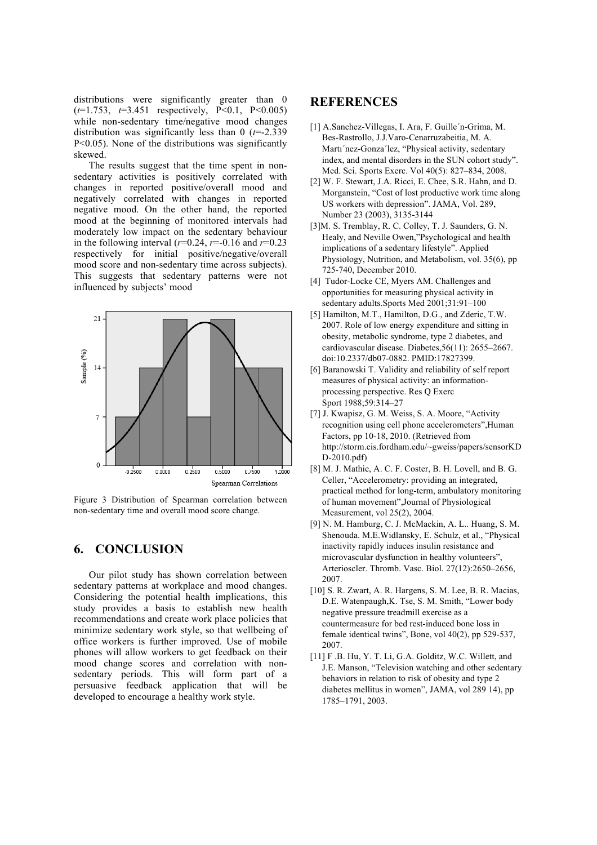distributions were significantly greater than 0 (*t*=1.753, *t*=3.451 respectively, P<0.1, P<0.005) while non-sedentary time/negative mood changes distribution was significantly less than 0 (*t*=-2.339 P<0.05). None of the distributions was significantly skewed.

The results suggest that the time spent in nonsedentary activities is positively correlated with changes in reported positive/overall mood and negatively correlated with changes in reported negative mood. On the other hand, the reported mood at the beginning of monitored intervals had moderately low impact on the sedentary behaviour in the following interval  $(r=0.24, r=-0.16$  and  $r=0.23$ respectively for initial positive/negative/overall mood score and non-sedentary time across subjects). This suggests that sedentary patterns were not influenced by subjects' mood



Figure 3 Distribution of Spearman correlation between non-sedentary time and overall mood score change.

### **6. CONCLUSION**

Our pilot study has shown correlation between sedentary patterns at workplace and mood changes. Considering the potential health implications, this study provides a basis to establish new health recommendations and create work place policies that minimize sedentary work style, so that wellbeing of office workers is further improved. Use of mobile phones will allow workers to get feedback on their mood change scores and correlation with nonsedentary periods. This will form part of a persuasive feedback application that will be developed to encourage a healthy work style.

#### **REFERENCES**

- [1] A.Sanchez-Villegas, I. Ara, F. Guille´n-Grima, M. Bes-Rastrollo, J.J.Varo-Cenarruzabeitia, M. A. Martı´nez-Gonza´lez, "Physical activity, sedentary index, and mental disorders in the SUN cohort study". Med. Sci. Sports Exerc. Vol 40(5): 827–834, 2008.
- [2] W. F. Stewart, J.A. Ricci, E. Chee, S.R. Hahn, and D. Morganstein, "Cost of lost productive work time along US workers with depression". JAMA, Vol. 289, Number 23 (2003), 3135-3144
- [3]M. S. Tremblay, R. C. Colley, T. J. Saunders, G. N. Healy, and Neville Owen,"Psychological and health implications of a sedentary lifestyle". Applied Physiology, Nutrition, and Metabolism, vol. 35(6), pp 725-740, December 2010.
- [4] Tudor-Locke CE, Myers AM. Challenges and opportunities for measuring physical activity in sedentary adults.Sports Med 2001;31:91–100
- [5] Hamilton, M.T., Hamilton, D.G., and Zderic, T.W. 2007. Role of low energy expenditure and sitting in obesity, metabolic syndrome, type 2 diabetes, and cardiovascular disease. Diabetes,56(11): 2655–2667. doi:10.2337/db07-0882. PMID:17827399.
- [6] Baranowski T. Validity and reliability of self report measures of physical activity: an informationprocessing perspective. Res Q Exerc Sport 1988;59:314–27
- [7] J. Kwapisz, G. M. Weiss, S. A. Moore, "Activity recognition using cell phone accelerometers",Human Factors, pp 10-18, 2010. (Retrieved from http://storm.cis.fordham.edu/~gweiss/papers/sensorKD D-2010.pdf)
- [8] M. J. Mathie, A. C. F. Coster, B. H. Lovell, and B. G. Celler, "Accelerometry: providing an integrated, practical method for long-term, ambulatory monitoring of human movement",Journal of Physiological Measurement, vol 25(2), 2004.
- [9] N. M. Hamburg, C. J. McMackin, A. L.. Huang, S. M. Shenouda. M.E.Widlansky, E. Schulz, et al., "Physical inactivity rapidly induces insulin resistance and microvascular dysfunction in healthy volunteers" Arterioscler. Thromb. Vasc. Biol. 27(12):2650–2656, 2007.
- [10] S. R. Zwart, A. R. Hargens, S. M. Lee, B. R. Macias, D.E. Watenpaugh,K. Tse, S. M. Smith, "Lower body negative pressure treadmill exercise as a countermeasure for bed rest-induced bone loss in female identical twins", Bone, vol 40(2), pp 529-537, 2007.
- [11] F .B. Hu, Y. T. Li, G.A. Golditz, W.C. Willett, and J.E. Manson, "Television watching and other sedentary behaviors in relation to risk of obesity and type 2 diabetes mellitus in women", JAMA, vol 289 14), pp 1785–1791, 2003.